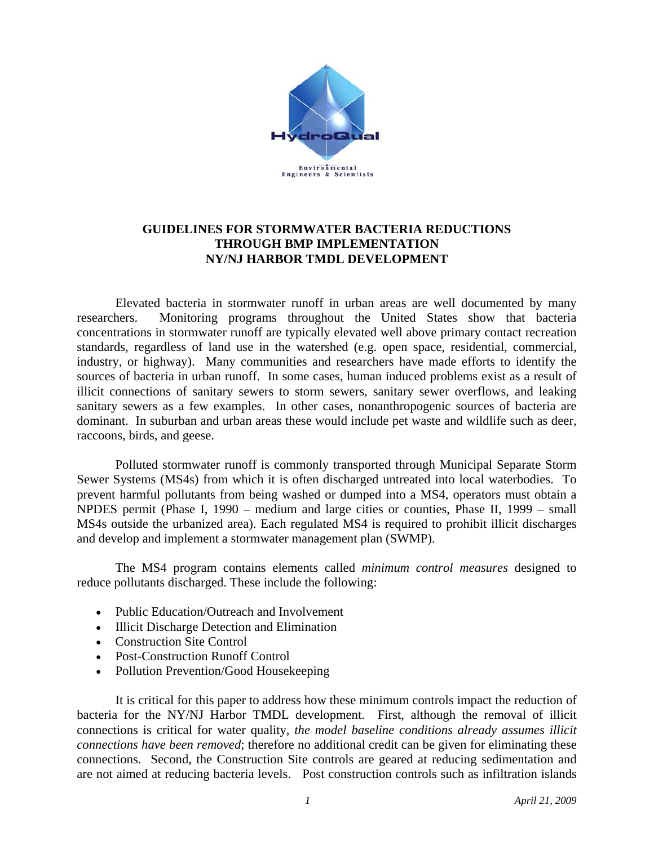

# **GUIDELINES FOR STORMWATER BACTERIA REDUCTIONS THROUGH BMP IMPLEMENTATION NY/NJ HARBOR TMDL DEVELOPMENT**

Elevated bacteria in stormwater runoff in urban areas are well documented by many researchers. Monitoring programs throughout the United States show that bacteria concentrations in stormwater runoff are typically elevated well above primary contact recreation standards, regardless of land use in the watershed (e.g. open space, residential, commercial, industry, or highway). Many communities and researchers have made efforts to identify the sources of bacteria in urban runoff. In some cases, human induced problems exist as a result of illicit connections of sanitary sewers to storm sewers, sanitary sewer overflows, and leaking sanitary sewers as a few examples. In other cases, nonanthropogenic sources of bacteria are dominant. In suburban and urban areas these would include pet waste and wildlife such as deer, raccoons, birds, and geese.

Polluted stormwater runoff is commonly transported through Municipal Separate Storm Sewer Systems (MS4s) from which it is often discharged untreated into local waterbodies. To prevent harmful pollutants from being washed or dumped into a MS4, operators must obtain a NPDES permit (Phase I, 1990 – medium and large cities or counties, Phase II, 1999 – small MS4s outside the urbanized area). Each regulated MS4 is required to prohibit illicit discharges and develop and implement a stormwater management plan (SWMP).

The MS4 program contains elements called *minimum control measures* designed to reduce pollutants discharged. These include the following:

- Public Education/Outreach and Involvement
- Illicit Discharge Detection and Elimination
- Construction Site Control
- Post-Construction Runoff Control
- Pollution Prevention/Good Housekeeping

It is critical for this paper to address how these minimum controls impact the reduction of bacteria for the NY/NJ Harbor TMDL development. First, although the removal of illicit connections is critical for water quality, *the model baseline conditions already assumes illicit connections have been removed*; therefore no additional credit can be given for eliminating these connections. Second, the Construction Site controls are geared at reducing sedimentation and are not aimed at reducing bacteria levels.Post construction controls such as infiltration islands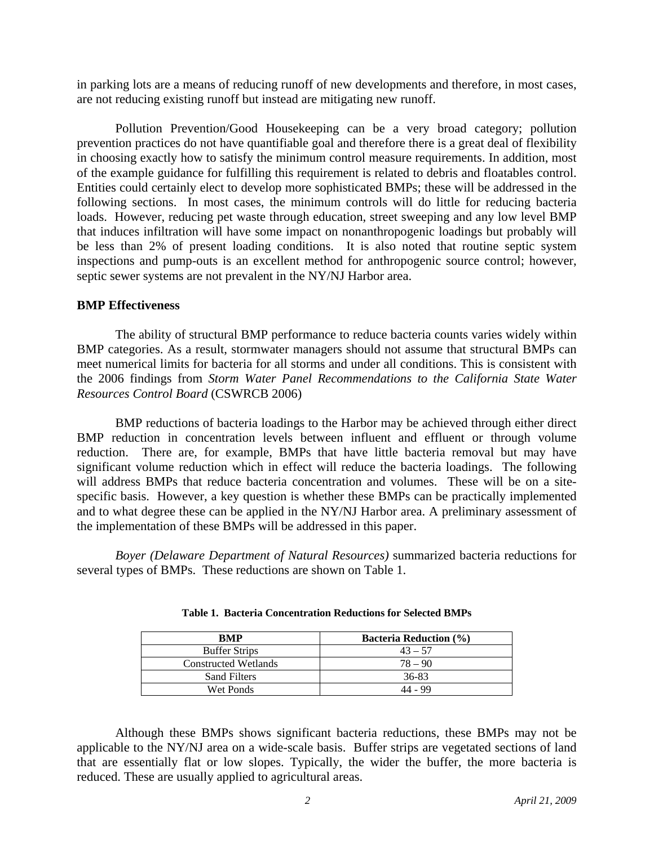in parking lots are a means of reducing runoff of new developments and therefore, in most cases, are not reducing existing runoff but instead are mitigating new runoff.

Pollution Prevention/Good Housekeeping can be a very broad category; pollution prevention practices do not have quantifiable goal and therefore there is a great deal of flexibility in choosing exactly how to satisfy the minimum control measure requirements. In addition, most of the example guidance for fulfilling this requirement is related to debris and floatables control. Entities could certainly elect to develop more sophisticated BMPs; these will be addressed in the following sections. In most cases, the minimum controls will do little for reducing bacteria loads. However, reducing pet waste through education, street sweeping and any low level BMP that induces infiltration will have some impact on nonanthropogenic loadings but probably will be less than 2% of present loading conditions. It is also noted that routine septic system inspections and pump-outs is an excellent method for anthropogenic source control; however, septic sewer systems are not prevalent in the NY/NJ Harbor area.

### **BMP Effectiveness**

The ability of structural BMP performance to reduce bacteria counts varies widely within BMP categories. As a result, stormwater managers should not assume that structural BMPs can meet numerical limits for bacteria for all storms and under all conditions. This is consistent with the 2006 findings from *Storm Water Panel Recommendations to the California State Water Resources Control Board* (CSWRCB 2006)

BMP reductions of bacteria loadings to the Harbor may be achieved through either direct BMP reduction in concentration levels between influent and effluent or through volume reduction. There are, for example, BMPs that have little bacteria removal but may have significant volume reduction which in effect will reduce the bacteria loadings. The following will address BMPs that reduce bacteria concentration and volumes. These will be on a sitespecific basis. However, a key question is whether these BMPs can be practically implemented and to what degree these can be applied in the NY/NJ Harbor area. A preliminary assessment of the implementation of these BMPs will be addressed in this paper.

*Boyer (Delaware Department of Natural Resources)* summarized bacteria reductions for several types of BMPs. These reductions are shown on Table 1.

| <b>RMP</b>           | <b>Bacteria Reduction (%)</b> |
|----------------------|-------------------------------|
| <b>Buffer Strips</b> | $43 - 57$                     |
| Constructed Wetlands | $78 - 90$                     |
| <b>Sand Filters</b>  | 36-83                         |
| Wet Ponds            | 44 - 99                       |

|  |  |  |  | Table 1. Bacteria Concentration Reductions for Selected BMPs |
|--|--|--|--|--------------------------------------------------------------|
|--|--|--|--|--------------------------------------------------------------|

Although these BMPs shows significant bacteria reductions, these BMPs may not be applicable to the NY/NJ area on a wide-scale basis. Buffer strips are vegetated sections of land that are essentially flat or low slopes. Typically, the wider the buffer, the more bacteria is reduced. These are usually applied to agricultural areas.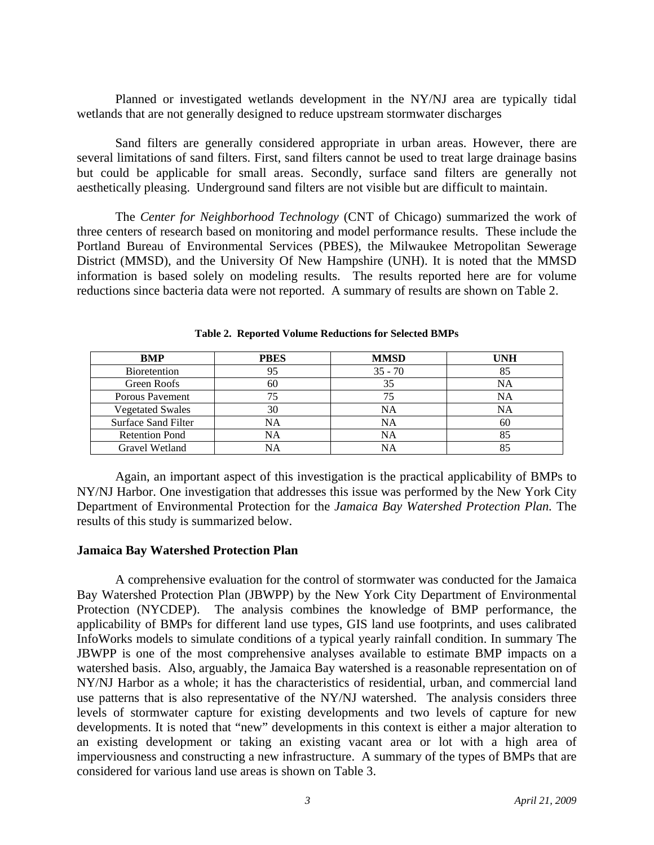Planned or investigated wetlands development in the NY/NJ area are typically tidal wetlands that are not generally designed to reduce upstream stormwater discharges

Sand filters are generally considered appropriate in urban areas. However, there are several limitations of sand filters. First, sand filters cannot be used to treat large drainage basins but could be applicable for small areas. Secondly, surface sand filters are generally not aesthetically pleasing. Underground sand filters are not visible but are difficult to maintain.

The *Center for Neighborhood Technology* (CNT of Chicago) summarized the work of three centers of research based on monitoring and model performance results. These include the Portland Bureau of Environmental Services (PBES), the Milwaukee Metropolitan Sewerage District (MMSD), and the University Of New Hampshire (UNH). It is noted that the MMSD information is based solely on modeling results. The results reported here are for volume reductions since bacteria data were not reported. A summary of results are shown on Table 2.

| <b>BMP</b>                 | <b>PBES</b> | <b>MMSD</b> | <b>UNH</b> |
|----------------------------|-------------|-------------|------------|
| <b>Bioretention</b>        | 95          | $35 - 70$   |            |
| Green Roofs                | 60          | 35          | ΝA         |
| Porous Pavement            |             |             | NA         |
| <b>Vegetated Swales</b>    | 30          | NA          | ΝA         |
| <b>Surface Sand Filter</b> | <b>NA</b>   | NA          | 60         |
| <b>Retention Pond</b>      | NA          | NA          |            |
| Gravel Wetland             | NA          | NA          |            |

**Table 2. Reported Volume Reductions for Selected BMPs** 

Again, an important aspect of this investigation is the practical applicability of BMPs to NY/NJ Harbor. One investigation that addresses this issue was performed by the New York City Department of Environmental Protection for the *Jamaica Bay Watershed Protection Plan.* The results of this study is summarized below.

#### **Jamaica Bay Watershed Protection Plan**

A comprehensive evaluation for the control of stormwater was conducted for the Jamaica Bay Watershed Protection Plan (JBWPP) by the New York City Department of Environmental Protection (NYCDEP). The analysis combines the knowledge of BMP performance, the applicability of BMPs for different land use types, GIS land use footprints, and uses calibrated InfoWorks models to simulate conditions of a typical yearly rainfall condition. In summary The JBWPP is one of the most comprehensive analyses available to estimate BMP impacts on a watershed basis. Also, arguably, the Jamaica Bay watershed is a reasonable representation on of NY/NJ Harbor as a whole; it has the characteristics of residential, urban, and commercial land use patterns that is also representative of the NY/NJ watershed. The analysis considers three levels of stormwater capture for existing developments and two levels of capture for new developments. It is noted that "new" developments in this context is either a major alteration to an existing development or taking an existing vacant area or lot with a high area of imperviousness and constructing a new infrastructure. A summary of the types of BMPs that are considered for various land use areas is shown on Table 3.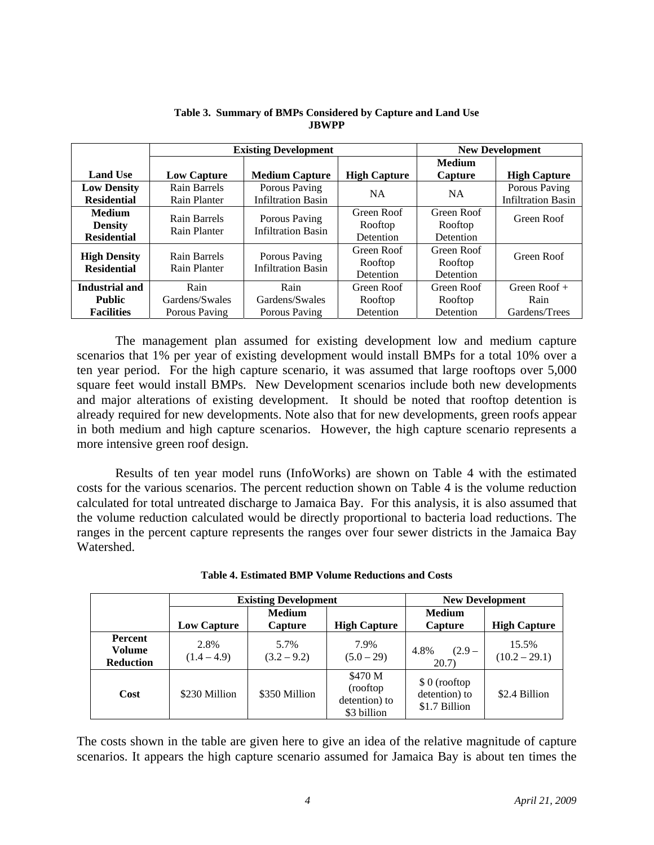|                                                       | <b>Existing Development</b>             |                                            |                                    |                                    | <b>New Development</b>                     |
|-------------------------------------------------------|-----------------------------------------|--------------------------------------------|------------------------------------|------------------------------------|--------------------------------------------|
| <b>Land Use</b>                                       | <b>Low Capture</b>                      | <b>Medium Capture</b>                      | <b>High Capture</b>                | <b>Medium</b><br>Capture           | <b>High Capture</b>                        |
| <b>Low Density</b><br><b>Residential</b>              | Rain Barrels<br>Rain Planter            | Porous Paving<br><b>Infiltration Basin</b> | <b>NA</b>                          | <b>NA</b>                          | Porous Paving<br><b>Infiltration Basin</b> |
| <b>Medium</b><br><b>Density</b><br><b>Residential</b> | Rain Barrels<br>Rain Planter            | Porous Paving<br><b>Infiltration Basin</b> | Green Roof<br>Rooftop<br>Detention | Green Roof<br>Rooftop<br>Detention | Green Roof                                 |
| <b>High Density</b><br><b>Residential</b>             | Rain Barrels<br>Rain Planter            | Porous Paving<br><b>Infiltration Basin</b> | Green Roof<br>Rooftop<br>Detention | Green Roof<br>Rooftop<br>Detention | Green Roof                                 |
| Industrial and<br><b>Public</b><br><b>Facilities</b>  | Rain<br>Gardens/Swales<br>Porous Paving | Rain<br>Gardens/Swales<br>Porous Paving    | Green Roof<br>Rooftop<br>Detention | Green Roof<br>Rooftop<br>Detention | Green Roof $+$<br>Rain<br>Gardens/Trees    |

#### **Table 3. Summary of BMPs Considered by Capture and Land Use JBWPP**

The management plan assumed for existing development low and medium capture scenarios that 1% per year of existing development would install BMPs for a total 10% over a ten year period. For the high capture scenario, it was assumed that large rooftops over 5,000 square feet would install BMPs. New Development scenarios include both new developments and major alterations of existing development. It should be noted that rooftop detention is already required for new developments. Note also that for new developments, green roofs appear in both medium and high capture scenarios. However, the high capture scenario represents a more intensive green roof design.

Results of ten year model runs (InfoWorks) are shown on Table 4 with the estimated costs for the various scenarios. The percent reduction shown on Table 4 is the volume reduction calculated for total untreated discharge to Jamaica Bay. For this analysis, it is also assumed that the volume reduction calculated would be directly proportional to bacteria load reductions. The ranges in the percent capture represents the ranges over four sewer districts in the Jamaica Bay Watershed.

|                                       | <b>Existing Development</b> |                          | <b>New Development</b>                               |                                                 |                          |
|---------------------------------------|-----------------------------|--------------------------|------------------------------------------------------|-------------------------------------------------|--------------------------|
|                                       | <b>Low Capture</b>          | <b>Medium</b><br>Capture | <b>High Capture</b>                                  | <b>Medium</b><br>Capture                        | <b>High Capture</b>      |
| Percent<br>Volume<br><b>Reduction</b> | 2.8%<br>$(1.4 - 4.9)$       | 5.7%<br>$(3.2 - 9.2)$    | 7.9%<br>$(5.0-29)$                                   | 4.8%<br>$(2.9 -$<br>20.7)                       | 15.5%<br>$(10.2 - 29.1)$ |
| Cost                                  | \$230 Million               | \$350 Million            | \$470 M<br>(rooftop)<br>detention) to<br>\$3 billion | $$0$ (rooftop<br>detention) to<br>\$1.7 Billion | \$2.4 Billion            |

| <b>Table 4. Estimated BMP Volume Reductions and Costs</b> |  |  |
|-----------------------------------------------------------|--|--|
|                                                           |  |  |

The costs shown in the table are given here to give an idea of the relative magnitude of capture scenarios. It appears the high capture scenario assumed for Jamaica Bay is about ten times the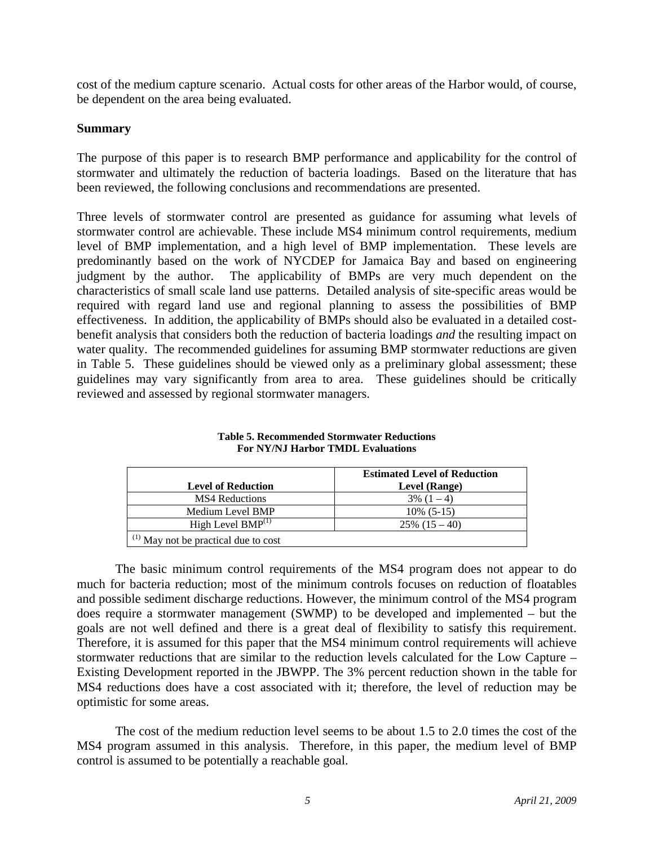cost of the medium capture scenario. Actual costs for other areas of the Harbor would, of course, be dependent on the area being evaluated.

## **Summary**

The purpose of this paper is to research BMP performance and applicability for the control of stormwater and ultimately the reduction of bacteria loadings. Based on the literature that has been reviewed, the following conclusions and recommendations are presented.

Three levels of stormwater control are presented as guidance for assuming what levels of stormwater control are achievable. These include MS4 minimum control requirements, medium level of BMP implementation, and a high level of BMP implementation. These levels are predominantly based on the work of NYCDEP for Jamaica Bay and based on engineering judgment by the author. The applicability of BMPs are very much dependent on the characteristics of small scale land use patterns. Detailed analysis of site-specific areas would be required with regard land use and regional planning to assess the possibilities of BMP effectiveness. In addition, the applicability of BMPs should also be evaluated in a detailed costbenefit analysis that considers both the reduction of bacteria loadings *and* the resulting impact on water quality. The recommended guidelines for assuming BMP stormwater reductions are given in Table 5. These guidelines should be viewed only as a preliminary global assessment; these guidelines may vary significantly from area to area. These guidelines should be critically reviewed and assessed by regional stormwater managers.

|                                           | <b>Estimated Level of Reduction</b> |
|-------------------------------------------|-------------------------------------|
| <b>Level of Reduction</b>                 | Level (Range)                       |
| <b>MS4</b> Reductions                     | $3\%$ $(1-4)$                       |
| Medium Level BMP                          | $10\%$ (5-15)                       |
| High Level $BMP^{(1)}$                    | $25\%$ $(15-40)$                    |
| $^{(1)}$ May not be practical due to cost |                                     |

**Table 5. Recommended Stormwater Reductions For NY/NJ Harbor TMDL Evaluations** 

The basic minimum control requirements of the MS4 program does not appear to do much for bacteria reduction; most of the minimum controls focuses on reduction of floatables and possible sediment discharge reductions. However, the minimum control of the MS4 program does require a stormwater management (SWMP) to be developed and implemented – but the goals are not well defined and there is a great deal of flexibility to satisfy this requirement. Therefore, it is assumed for this paper that the MS4 minimum control requirements will achieve stormwater reductions that are similar to the reduction levels calculated for the Low Capture – Existing Development reported in the JBWPP. The 3% percent reduction shown in the table for MS4 reductions does have a cost associated with it; therefore, the level of reduction may be optimistic for some areas.

The cost of the medium reduction level seems to be about 1.5 to 2.0 times the cost of the MS4 program assumed in this analysis. Therefore, in this paper, the medium level of BMP control is assumed to be potentially a reachable goal.